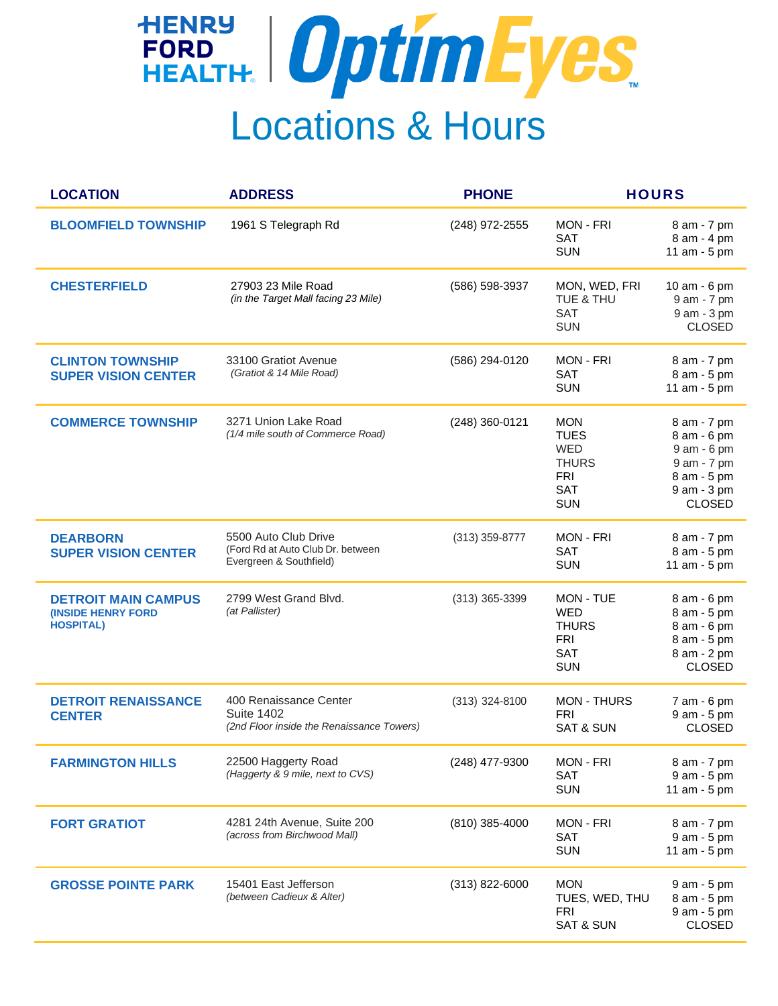## FORD FORD OptimEyes Locations & Hours

| <b>LOCATION</b>                                                             | <b>ADDRESS</b>                                                                           | <b>PHONE</b>     | <b>HOURS</b>                                                                                      |                                                                                                         |
|-----------------------------------------------------------------------------|------------------------------------------------------------------------------------------|------------------|---------------------------------------------------------------------------------------------------|---------------------------------------------------------------------------------------------------------|
| <b>BLOOMFIELD TOWNSHIP</b>                                                  | 1961 S Telegraph Rd                                                                      | (248) 972-2555   | <b>MON - FRI</b><br><b>SAT</b><br><b>SUN</b>                                                      | 8 am - 7 pm<br>8 am - 4 pm<br>11 am - 5 pm                                                              |
| <b>CHESTERFIELD</b>                                                         | 27903 23 Mile Road<br>(in the Target Mall facing 23 Mile)                                | (586) 598-3937   | MON, WED, FRI<br>TUE & THU<br><b>SAT</b><br><b>SUN</b>                                            | 10 am - 6 pm<br>9 am - 7 pm<br>9 am - 3 pm<br><b>CLOSED</b>                                             |
| <b>CLINTON TOWNSHIP</b><br><b>SUPER VISION CENTER</b>                       | 33100 Gratiot Avenue<br>(Gratiot & 14 Mile Road)                                         | (586) 294-0120   | <b>MON - FRI</b><br>SAT<br><b>SUN</b>                                                             | 8 am - 7 pm<br>8 am - 5 pm<br>11 am - 5 pm                                                              |
| <b>COMMERCE TOWNSHIP</b>                                                    | 3271 Union Lake Road<br>(1/4 mile south of Commerce Road)                                | (248) 360-0121   | <b>MON</b><br><b>TUES</b><br><b>WED</b><br><b>THURS</b><br><b>FRI</b><br><b>SAT</b><br><b>SUN</b> | 8 am - 7 pm<br>8 am - 6 pm<br>9 am - 6 pm<br>9 am - 7 pm<br>8 am - 5 pm<br>9 am - 3 pm<br><b>CLOSED</b> |
| <b>DEARBORN</b><br><b>SUPER VISION CENTER</b>                               | 5500 Auto Club Drive<br>(Ford Rd at Auto Club Dr. between<br>Evergreen & Southfield)     | (313) 359-8777   | MON - FRI<br><b>SAT</b><br><b>SUN</b>                                                             | 8 am - 7 pm<br>8 am - 5 pm<br>11 am - 5 pm                                                              |
| <b>DETROIT MAIN CAMPUS</b><br><b>(INSIDE HENRY FORD</b><br><b>HOSPITAL)</b> | 2799 West Grand Blvd.<br>(at Pallister)                                                  | $(313)$ 365-3399 | MON - TUE<br><b>WED</b><br><b>THURS</b><br><b>FRI</b><br><b>SAT</b><br><b>SUN</b>                 | 8 am - 6 pm<br>8 am - 5 pm<br>8 am - 6 pm<br>8 am - 5 pm<br>8 am - 2 pm<br><b>CLOSED</b>                |
| <b>DETROIT RENAISSANCE</b><br><b>CENTER</b>                                 | 400 Renaissance Center<br><b>Suite 1402</b><br>(2nd Floor inside the Renaissance Towers) | (313) 324-8100   | <b>MON - THURS</b><br><b>FRI</b><br><b>SAT &amp; SUN</b>                                          | 7 am - 6 pm<br>9 am - 5 pm<br><b>CLOSED</b>                                                             |
| <b>FARMINGTON HILLS</b>                                                     | 22500 Haggerty Road<br>(Haggerty & 9 mile, next to CVS)                                  | (248) 477-9300   | MON - FRI<br>SAT<br><b>SUN</b>                                                                    | 8 am - 7 pm<br>9 am - 5 pm<br>11 am - 5 pm                                                              |
| <b>FORT GRATIOT</b>                                                         | 4281 24th Avenue, Suite 200<br>(across from Birchwood Mall)                              | $(810)$ 385-4000 | MON - FRI<br><b>SAT</b><br><b>SUN</b>                                                             | 8 am - 7 pm<br>9 am - 5 pm<br>11 am - 5 pm                                                              |
| <b>GROSSE POINTE PARK</b>                                                   | 15401 East Jefferson<br>(between Cadieux & Alter)                                        | (313) 822-6000   | <b>MON</b><br>TUES, WED, THU<br><b>FRI</b><br><b>SAT &amp; SUN</b>                                | 9 am - 5 pm<br>8 am - 5 pm<br>9 am - 5 pm<br><b>CLOSED</b>                                              |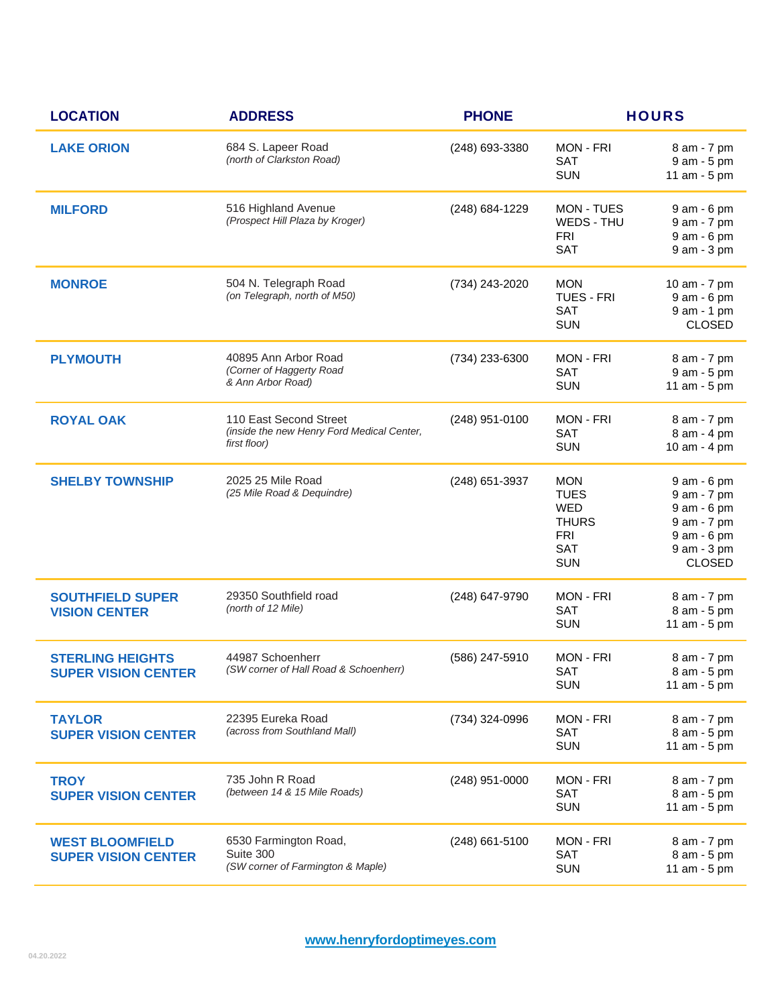| <b>LOCATION</b>                                       | <b>ADDRESS</b>                                                                       | <b>PHONE</b>     |                                                                                                   | <b>HOURS</b>                                                                                            |
|-------------------------------------------------------|--------------------------------------------------------------------------------------|------------------|---------------------------------------------------------------------------------------------------|---------------------------------------------------------------------------------------------------------|
| <b>LAKE ORION</b>                                     | 684 S. Lapeer Road<br>(north of Clarkston Road)                                      | (248) 693-3380   | <b>MON - FRI</b><br><b>SAT</b><br><b>SUN</b>                                                      | 8 am - 7 pm<br>9 am - 5 pm<br>11 am - 5 pm                                                              |
| <b>MILFORD</b>                                        | 516 Highland Avenue<br>(Prospect Hill Plaza by Kroger)                               | (248) 684-1229   | MON - TUES<br>WEDS - THU<br><b>FRI</b><br><b>SAT</b>                                              | 9 am - 6 pm<br>9 am - 7 pm<br>9 am - 6 pm<br>9 am - 3 pm                                                |
| <b>MONROE</b>                                         | 504 N. Telegraph Road<br>(on Telegraph, north of M50)                                | (734) 243-2020   | <b>MON</b><br><b>TUES - FRI</b><br><b>SAT</b><br><b>SUN</b>                                       | 10 am - 7 pm<br>9 am - 6 pm<br>9 am - 1 pm<br><b>CLOSED</b>                                             |
| <b>PLYMOUTH</b>                                       | 40895 Ann Arbor Road<br>(Corner of Haggerty Road<br>& Ann Arbor Road)                | (734) 233-6300   | <b>MON - FRI</b><br>SAT<br><b>SUN</b>                                                             | 8 am - 7 pm<br>9 am - 5 pm<br>11 am - 5 pm                                                              |
| <b>ROYAL OAK</b>                                      | 110 East Second Street<br>(inside the new Henry Ford Medical Center,<br>first floor) | (248) 951-0100   | <b>MON - FRI</b><br>SAT<br><b>SUN</b>                                                             | 8 am - 7 pm<br>8 am - 4 pm<br>10 am - 4 pm                                                              |
| <b>SHELBY TOWNSHIP</b>                                | 2025 25 Mile Road<br>(25 Mile Road & Dequindre)                                      | (248) 651-3937   | <b>MON</b><br><b>TUES</b><br><b>WED</b><br><b>THURS</b><br><b>FRI</b><br><b>SAT</b><br><b>SUN</b> | 9 am - 6 pm<br>9 am - 7 pm<br>9 am - 6 pm<br>9 am - 7 pm<br>9 am - 6 pm<br>9 am - 3 pm<br><b>CLOSED</b> |
| <b>SOUTHFIELD SUPER</b><br><b>VISION CENTER</b>       | 29350 Southfield road<br>(north of 12 Mile)                                          | (248) 647-9790   | MON - FRI<br>SAT<br><b>SUN</b>                                                                    | 8 am - 7 pm<br>8 am - 5 pm<br>11 am - 5 pm                                                              |
| <b>STERLING HEIGHTS</b><br><b>SUPER VISION CENTER</b> | 44987 Schoenherr<br>(SW corner of Hall Road & Schoenherr)                            | (586) 247-5910   | <b>MON - FRI</b><br>SAT<br><b>SUN</b>                                                             | 8 am - 7 pm<br>8 am - 5 pm<br>11 am - 5 pm                                                              |
| <b>TAYLOR</b><br><b>SUPER VISION CENTER</b>           | 22395 Eureka Road<br>(across from Southland Mall)                                    | (734) 324-0996   | <b>MON - FRI</b><br><b>SAT</b><br><b>SUN</b>                                                      | 8 am - 7 pm<br>8 am - 5 pm<br>11 am - 5 pm                                                              |
| <b>TROY</b><br><b>SUPER VISION CENTER</b>             | 735 John R Road<br>(between 14 & 15 Mile Roads)                                      | $(248)$ 951-0000 | <b>MON - FRI</b><br><b>SAT</b><br><b>SUN</b>                                                      | 8 am - 7 pm<br>8 am - 5 pm<br>11 am - 5 pm                                                              |
| <b>WEST BLOOMFIELD</b><br><b>SUPER VISION CENTER</b>  | 6530 Farmington Road,<br>Suite 300<br>(SW corner of Farmington & Maple)              | $(248)$ 661-5100 | MON - FRI<br><b>SAT</b><br><b>SUN</b>                                                             | 8 am - 7 pm<br>8 am - 5 pm<br>11 am - 5 pm                                                              |